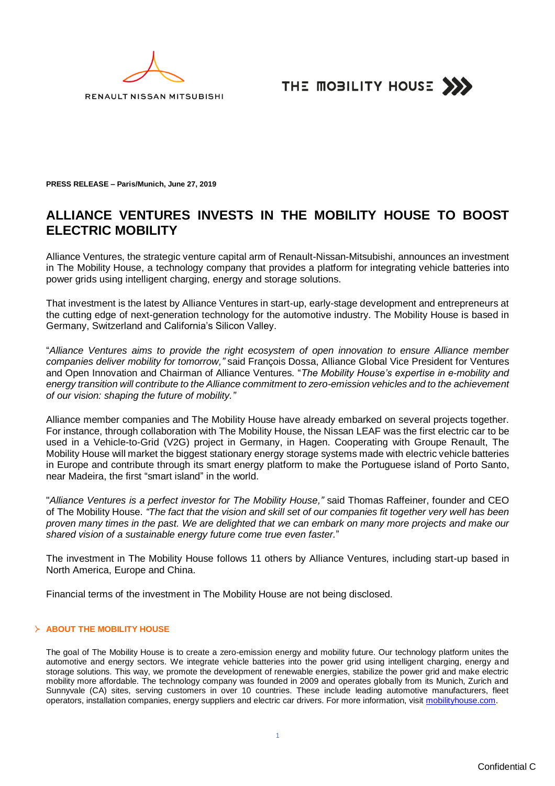



**PRESS RELEASE – Paris/Munich, June 27, 2019**

# **ALLIANCE VENTURES INVESTS IN THE MOBILITY HOUSE TO BOOST ELECTRIC MOBILITY**

Alliance Ventures, the strategic venture capital arm of Renault-Nissan-Mitsubishi, announces an investment in The Mobility House, a technology company that provides a platform for integrating vehicle batteries into power grids using intelligent charging, energy and storage solutions.

That investment is the latest by Alliance Ventures in start-up, early-stage development and entrepreneurs at the cutting edge of next-generation technology for the automotive industry. The Mobility House is based in Germany, Switzerland and California's Silicon Valley.

"*Alliance Ventures aims to provide the right ecosystem of open innovation to ensure Alliance member companies deliver mobility for tomorrow,"* said François Dossa, Alliance Global Vice President for Ventures and Open Innovation and Chairman of Alliance Ventures. "*The Mobility House's expertise in e-mobility and energy transition will contribute to the Alliance commitment to zero-emission vehicles and to the achievement of our vision: shaping the future of mobility."*

Alliance member companies and The Mobility House have already embarked on several projects together. For instance, through collaboration with The Mobility House, the Nissan LEAF was the first electric car to be used in a Vehicle-to-Grid (V2G) project in Germany, in Hagen. Cooperating with Groupe Renault, The Mobility House will market the biggest stationary energy storage systems made with electric vehicle batteries in Europe and contribute through its smart energy platform to make the Portuguese island of Porto Santo, near Madeira, the first "smart island" in the world.

"*Alliance Ventures is a perfect investor for The Mobility House,"* said Thomas Raffeiner, founder and CEO of The Mobility House. *"The fact that the vision and skill set of our companies fit together very well has been proven many times in the past. We are delighted that we can embark on many more projects and make our shared vision of a sustainable energy future come true even faster.*"

The investment in The Mobility House follows 11 others by Alliance Ventures, including start-up based in North America, Europe and China.

Financial terms of the investment in The Mobility House are not being disclosed.

## **ABOUT THE MOBILITY HOUSE**

The goal of The Mobility House is to create a zero-emission energy and mobility future. Our technology platform unites the automotive and energy sectors. We integrate vehicle batteries into the power grid using intelligent charging, energy and storage solutions. This way, we promote the development of renewable energies, stabilize the power grid and make electric mobility more affordable. The technology company was founded in 2009 and operates globally from its Munich, Zurich and Sunnyvale (CA) sites, serving customers in over 10 countries. These include leading automotive manufacturers, fleet operators, installation companies, energy suppliers and electric car drivers. For more information, visit mobilityhouse.com.